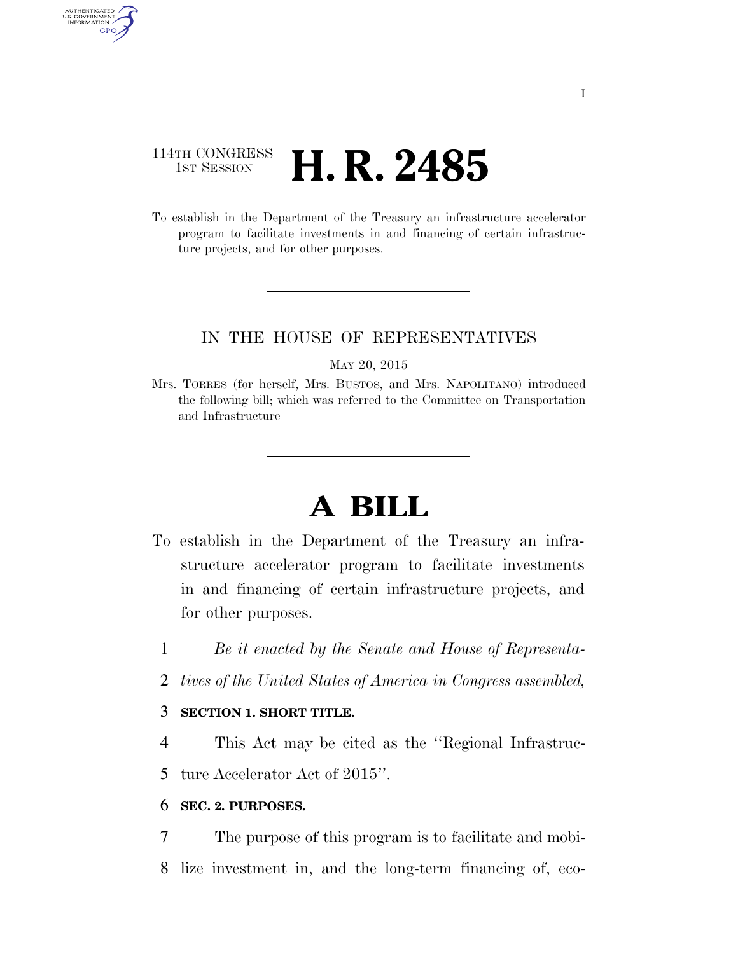### 114TH CONGRESS **1ST SESSION <b>H. R. 2485**

AUTHENTICATED<br>U.S. GOVERNMENT<br>INFORMATION GPO

> To establish in the Department of the Treasury an infrastructure accelerator program to facilitate investments in and financing of certain infrastructure projects, and for other purposes.

### IN THE HOUSE OF REPRESENTATIVES

MAY 20, 2015

Mrs. TORRES (for herself, Mrs. BUSTOS, and Mrs. NAPOLITANO) introduced the following bill; which was referred to the Committee on Transportation and Infrastructure

# **A BILL**

- To establish in the Department of the Treasury an infrastructure accelerator program to facilitate investments in and financing of certain infrastructure projects, and for other purposes.
	- 1 *Be it enacted by the Senate and House of Representa-*
	- 2 *tives of the United States of America in Congress assembled,*

### 3 **SECTION 1. SHORT TITLE.**

4 This Act may be cited as the ''Regional Infrastruc-

5 ture Accelerator Act of 2015''.

#### 6 **SEC. 2. PURPOSES.**

7 The purpose of this program is to facilitate and mobi-8 lize investment in, and the long-term financing of, eco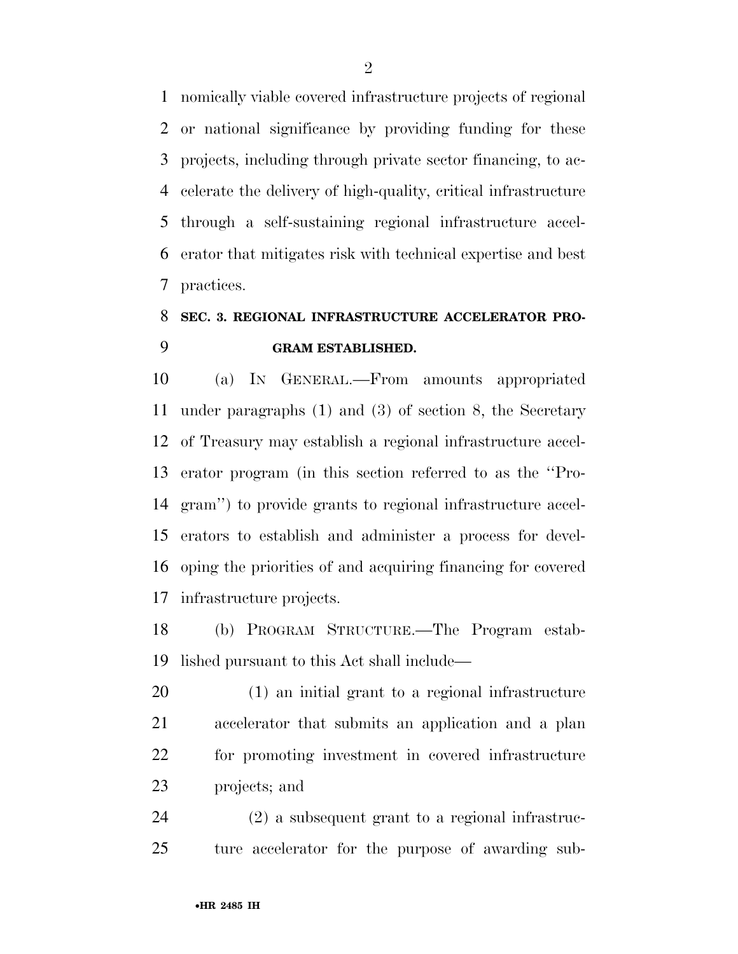nomically viable covered infrastructure projects of regional or national significance by providing funding for these projects, including through private sector financing, to ac- celerate the delivery of high-quality, critical infrastructure through a self-sustaining regional infrastructure accel- erator that mitigates risk with technical expertise and best practices.

## **SEC. 3. REGIONAL INFRASTRUCTURE ACCELERATOR PRO-GRAM ESTABLISHED.**

 (a) IN GENERAL.—From amounts appropriated under paragraphs (1) and (3) of section 8, the Secretary of Treasury may establish a regional infrastructure accel- erator program (in this section referred to as the ''Pro- gram'') to provide grants to regional infrastructure accel- erators to establish and administer a process for devel- oping the priorities of and acquiring financing for covered infrastructure projects.

 (b) PROGRAM STRUCTURE.—The Program estab-lished pursuant to this Act shall include—

 (1) an initial grant to a regional infrastructure accelerator that submits an application and a plan for promoting investment in covered infrastructure projects; and

 (2) a subsequent grant to a regional infrastruc-ture accelerator for the purpose of awarding sub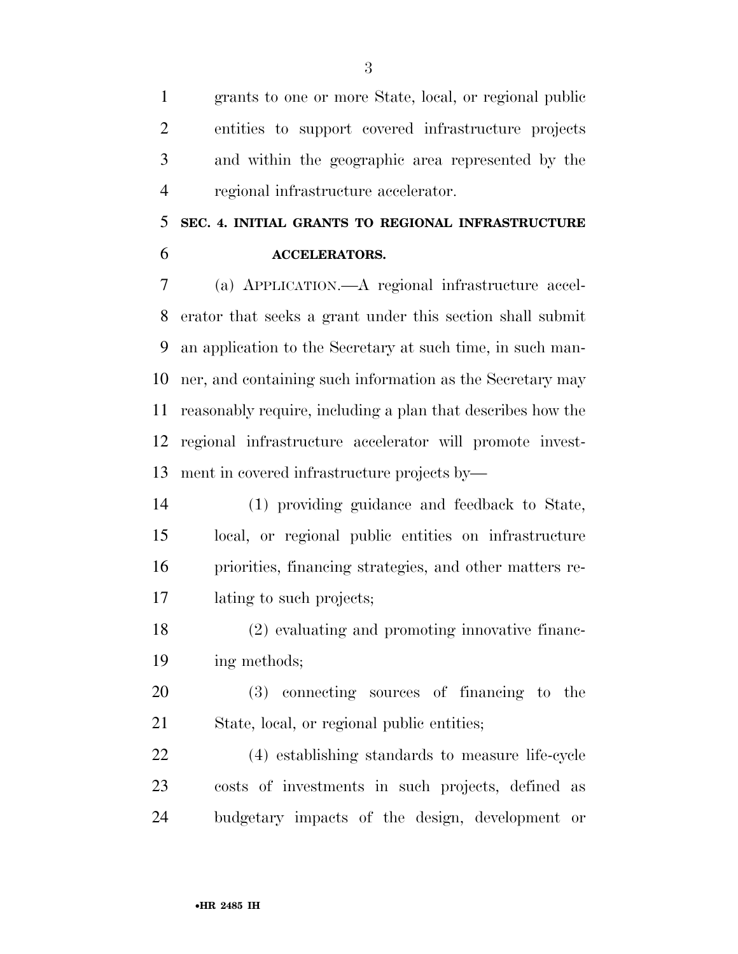grants to one or more State, local, or regional public entities to support covered infrastructure projects and within the geographic area represented by the regional infrastructure accelerator.

### **SEC. 4. INITIAL GRANTS TO REGIONAL INFRASTRUCTURE ACCELERATORS.**

 (a) APPLICATION.—A regional infrastructure accel- erator that seeks a grant under this section shall submit an application to the Secretary at such time, in such man- ner, and containing such information as the Secretary may reasonably require, including a plan that describes how the regional infrastructure accelerator will promote invest-ment in covered infrastructure projects by—

- (1) providing guidance and feedback to State, local, or regional public entities on infrastructure priorities, financing strategies, and other matters re-lating to such projects;
- (2) evaluating and promoting innovative financ-ing methods;
- (3) connecting sources of financing to the State, local, or regional public entities;

 (4) establishing standards to measure life-cycle costs of investments in such projects, defined as budgetary impacts of the design, development or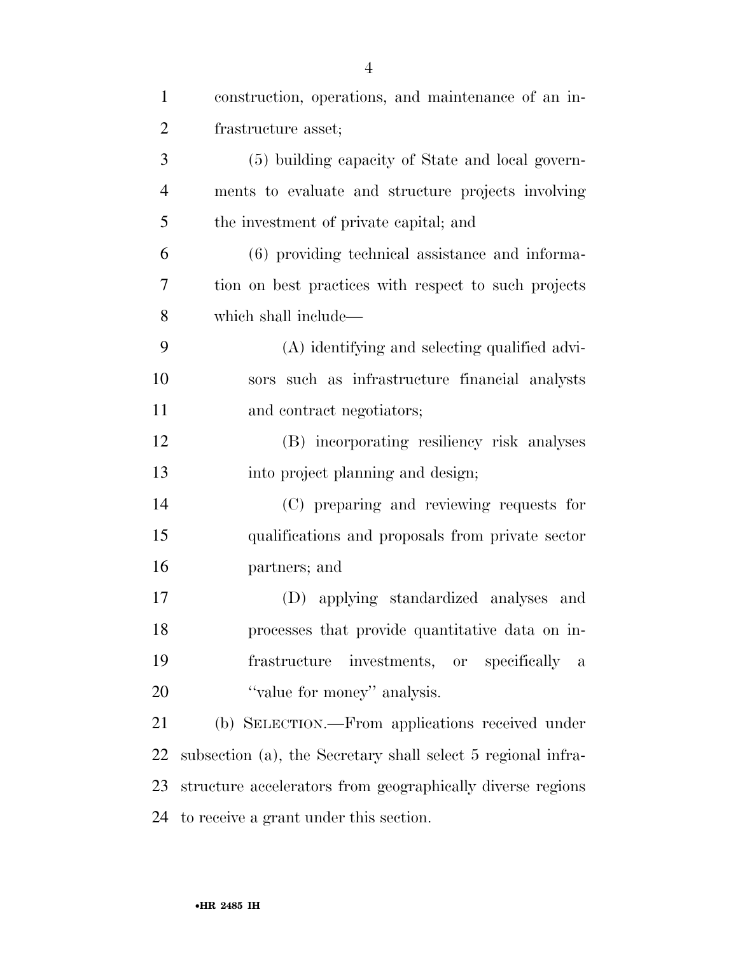| $\mathbf{1}$   | construction, operations, and maintenance of an in-          |
|----------------|--------------------------------------------------------------|
| $\overline{2}$ | frastructure asset;                                          |
| 3              | (5) building capacity of State and local govern-             |
| $\overline{4}$ | ments to evaluate and structure projects involving           |
| 5              | the investment of private capital; and                       |
| 6              | (6) providing technical assistance and informa-              |
| 7              | tion on best practices with respect to such projects         |
| 8              | which shall include—                                         |
| 9              | (A) identifying and selecting qualified advi-                |
| 10             | sors such as infrastructure financial analysts               |
| 11             | and contract negotiators;                                    |
| 12             | (B) incorporating resiliency risk analyses                   |
| 13             | into project planning and design;                            |
| 14             | (C) preparing and reviewing requests for                     |
| 15             | qualifications and proposals from private sector             |
| 16             | partners; and                                                |
| 17             | (D) applying standardized analyses and                       |
| 18             | processes that provide quantitative data on in-              |
| 19             | investments, or specifically<br>frastructure<br>$\mathbf{a}$ |
| 20             | "value for money" analysis.                                  |
| 21             | (b) SELECTION.—From applications received under              |
| 22             | subsection (a), the Secretary shall select 5 regional infra- |
| 23             | structure accelerators from geographically diverse regions   |
| 24             | to receive a grant under this section.                       |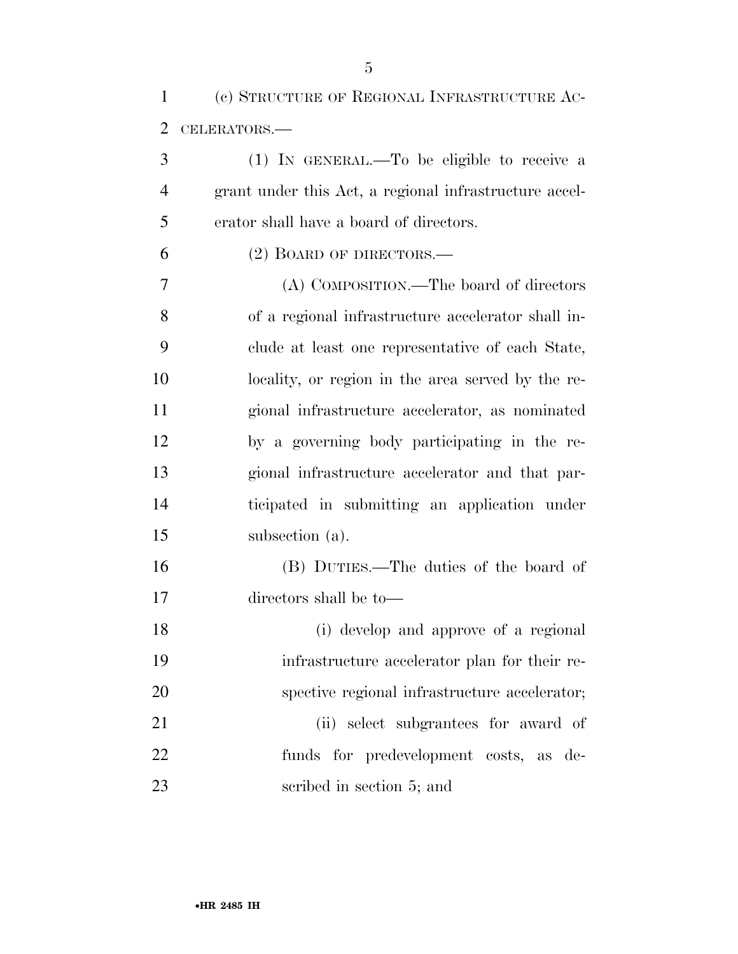(1) IN GENERAL.—To be eligible to receive a grant under this Act, a regional infrastructure accel-erator shall have a board of directors.

(2) BOARD OF DIRECTORS.—

 (A) COMPOSITION.—The board of directors of a regional infrastructure accelerator shall in- clude at least one representative of each State, locality, or region in the area served by the re- gional infrastructure accelerator, as nominated by a governing body participating in the re- gional infrastructure accelerator and that par- ticipated in submitting an application under subsection (a).

 (B) DUTIES.—The duties of the board of directors shall be to—

 (i) develop and approve of a regional infrastructure accelerator plan for their re- spective regional infrastructure accelerator; (ii) select subgrantees for award of funds for predevelopment costs, as de-scribed in section 5; and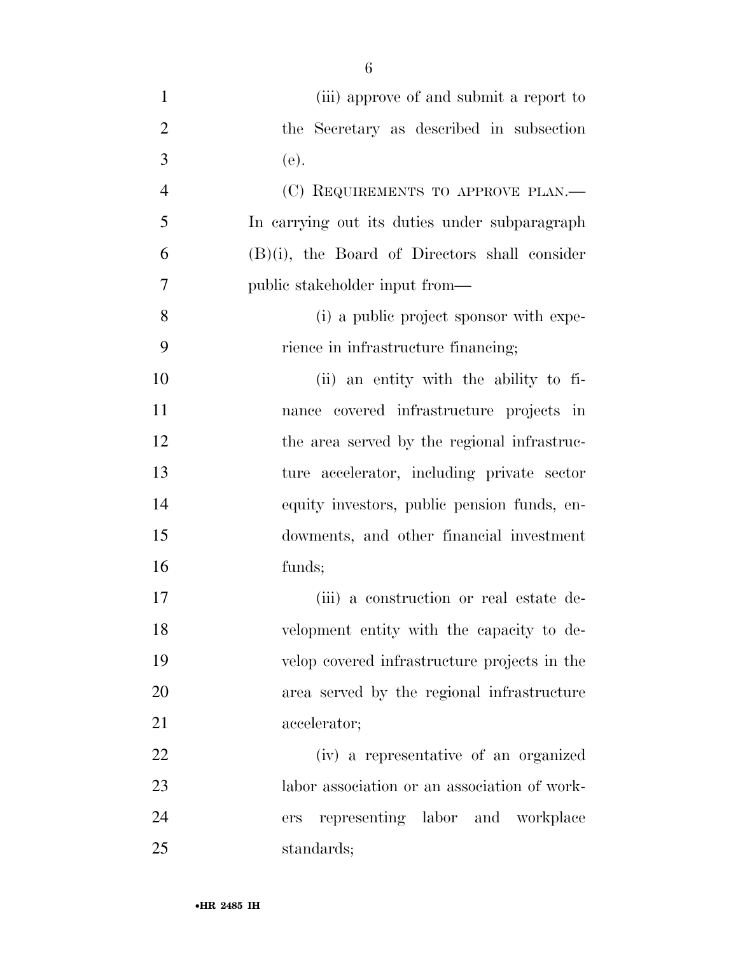| $\mathbf{1}$   | (iii) approve of and submit a report to          |
|----------------|--------------------------------------------------|
| $\overline{2}$ | the Secretary as described in subsection         |
| 3              | (e).                                             |
| $\overline{4}$ | (C) REQUIREMENTS TO APPROVE PLAN.—               |
| 5              | In carrying out its duties under subparagraph    |
| 6              | $(B)(i)$ , the Board of Directors shall consider |
| 7              | public stakeholder input from—                   |
| 8              | (i) a public project sponsor with expe-          |
| 9              | rience in infrastructure financing;              |
| 10             | (ii) an entity with the ability to fi-           |
| 11             | nance covered infrastructure projects in         |
| 12             | the area served by the regional infrastruc-      |
| 13             | ture accelerator, including private sector       |
| 14             | equity investors, public pension funds, en-      |
| 15             | dowments, and other financial investment         |
| 16             | funds;                                           |
| 17             | (iii) a construction or real estate de-          |
| 18             | velopment entity with the capacity to de-        |
| 19             | velop covered infrastructure projects in the     |
| 20             | area served by the regional infrastructure       |
| 21             | accelerator;                                     |
| 22             | (iv) a representative of an organized            |
| 23             | labor association or an association of work-     |
| 24             | representing labor and workplace<br>ers          |
| 25             | standards;                                       |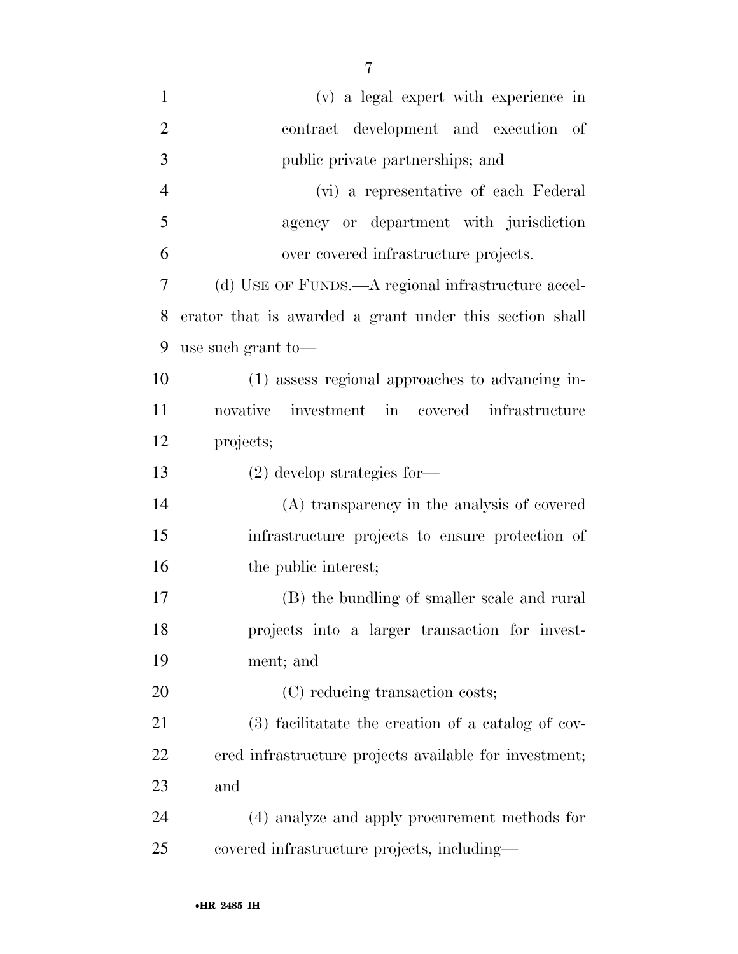| $\mathbf{1}$   | (v) a legal expert with experience in                   |
|----------------|---------------------------------------------------------|
| $\overline{2}$ | contract development and execution of                   |
| 3              | public private partnerships; and                        |
| 4              | (vi) a representative of each Federal                   |
| 5              | agency or department with jurisdiction                  |
| 6              | over covered infrastructure projects.                   |
| 7              | (d) USE OF FUNDS.—A regional infrastructure accel-      |
| 8              | erator that is awarded a grant under this section shall |
| 9              | use such grant to-                                      |
| 10             | (1) assess regional approaches to advancing in-         |
| 11             | investment in covered<br>infrastructure<br>novative     |
| 12             | projects;                                               |
| 13             | $(2)$ develop strategies for-                           |
| 14             | (A) transparency in the analysis of covered             |
| 15             | infrastructure projects to ensure protection of         |
| 16             | the public interest;                                    |
| 17             | (B) the bundling of smaller scale and rural             |
| 18             | projects into a larger transaction for invest-          |
| 19             | ment; and                                               |
| 20             | (C) reducing transaction costs;                         |
| 21             | (3) facilitatate the creation of a catalog of cov-      |
| 22             | ered infrastructure projects available for investment;  |
| 23             | and                                                     |
| 24             | (4) analyze and apply procurement methods for           |
| 25             | covered infrastructure projects, including—             |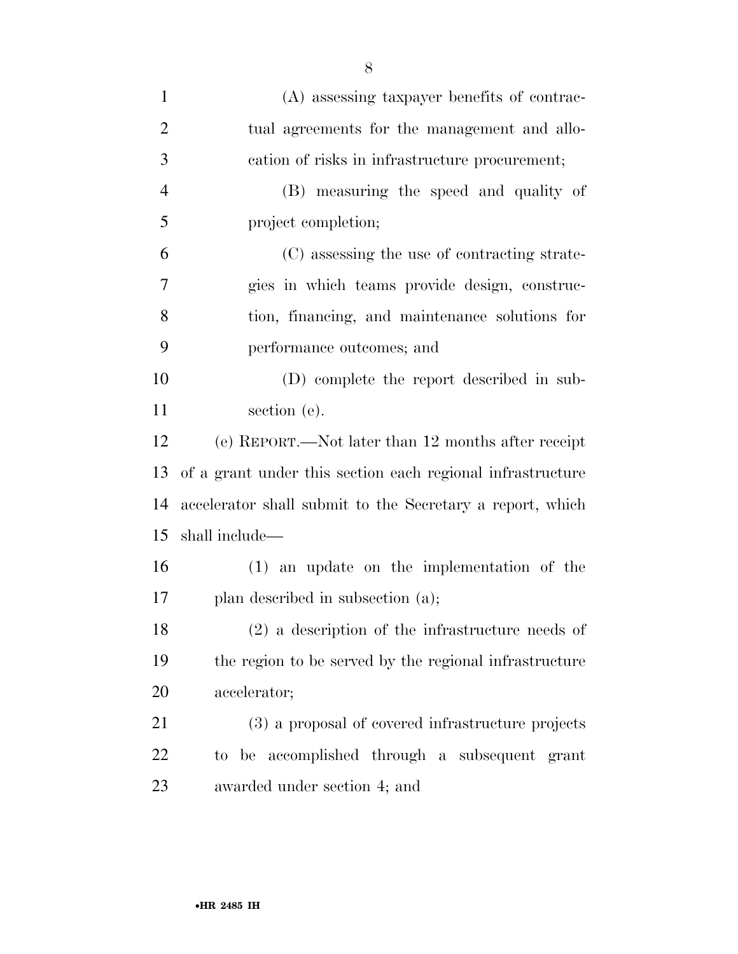| $\mathbf{1}$   | (A) assessing taxpayer benefits of contrac-                |
|----------------|------------------------------------------------------------|
| $\overline{2}$ | tual agreements for the management and allo-               |
| 3              | cation of risks in infrastructure procurement;             |
| $\overline{4}$ | (B) measuring the speed and quality of                     |
| 5              | project completion;                                        |
| 6              | (C) assessing the use of contracting strate-               |
| $\overline{7}$ | gies in which teams provide design, construc-              |
| 8              | tion, financing, and maintenance solutions for             |
| 9              | performance outcomes; and                                  |
| 10             | (D) complete the report described in sub-                  |
| 11             | section (e).                                               |
| 12             | (e) REPORT.—Not later than 12 months after receipt         |
| 13             | of a grant under this section each regional infrastructure |
| 14             | accelerator shall submit to the Secretary a report, which  |
| 15             | shall include—                                             |
| 16             | $(1)$ an update on the implementation of the               |
| 17             | plan described in subsection (a);                          |
| 18             | $(2)$ a description of the infrastructure needs of         |
| 19             | the region to be served by the regional infrastructure     |
| 20             | accelerator;                                               |
| 21             | (3) a proposal of covered infrastructure projects          |
| 22             | to be accomplished through a subsequent grant              |
| 23             | awarded under section 4; and                               |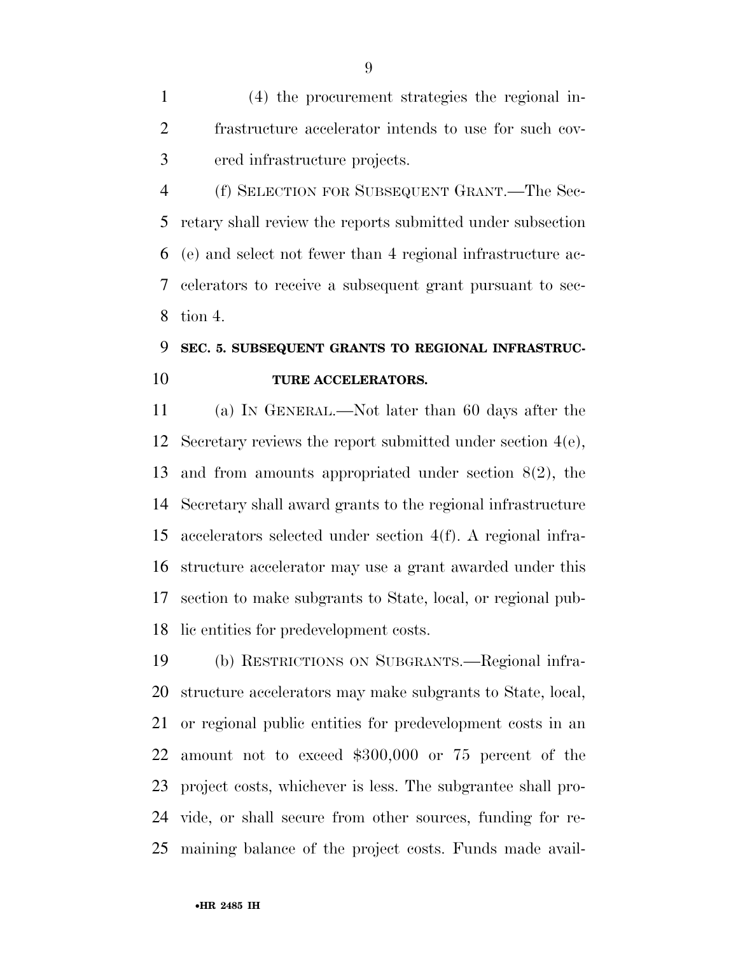(4) the procurement strategies the regional in- frastructure accelerator intends to use for such cov-ered infrastructure projects.

 (f) SELECTION FOR SUBSEQUENT GRANT.—The Sec- retary shall review the reports submitted under subsection (e) and select not fewer than 4 regional infrastructure ac- celerators to receive a subsequent grant pursuant to sec-tion 4.

## **SEC. 5. SUBSEQUENT GRANTS TO REGIONAL INFRASTRUC-TURE ACCELERATORS.**

 (a) IN GENERAL.—Not later than 60 days after the Secretary reviews the report submitted under section 4(e), and from amounts appropriated under section 8(2), the Secretary shall award grants to the regional infrastructure accelerators selected under section 4(f). A regional infra- structure accelerator may use a grant awarded under this section to make subgrants to State, local, or regional pub-lic entities for predevelopment costs.

 (b) RESTRICTIONS ON SUBGRANTS.—Regional infra- structure accelerators may make subgrants to State, local, or regional public entities for predevelopment costs in an amount not to exceed \$300,000 or 75 percent of the project costs, whichever is less. The subgrantee shall pro- vide, or shall secure from other sources, funding for re-maining balance of the project costs. Funds made avail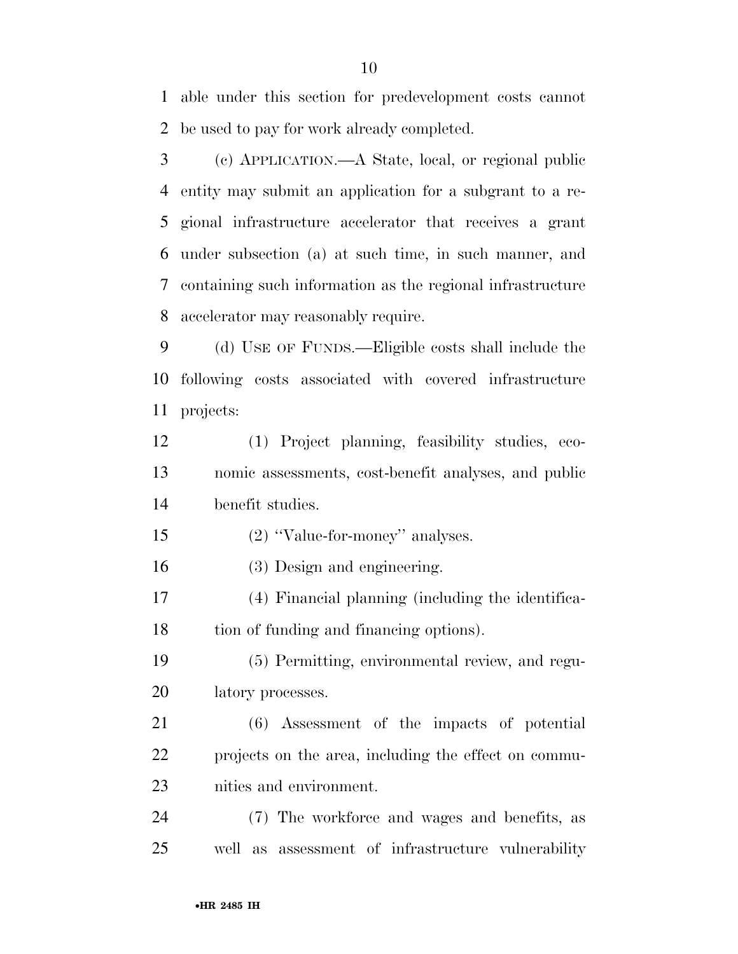able under this section for predevelopment costs cannot be used to pay for work already completed.

 (c) APPLICATION.—A State, local, or regional public entity may submit an application for a subgrant to a re- gional infrastructure accelerator that receives a grant under subsection (a) at such time, in such manner, and containing such information as the regional infrastructure accelerator may reasonably require.

 (d) USE OF FUNDS.—Eligible costs shall include the following costs associated with covered infrastructure projects:

 (1) Project planning, feasibility studies, eco- nomic assessments, cost-benefit analyses, and public benefit studies.

15 (2) "Value-for-money" analyses.

(3) Design and engineering.

 (4) Financial planning (including the identifica-tion of funding and financing options).

 (5) Permitting, environmental review, and regu-latory processes.

 (6) Assessment of the impacts of potential projects on the area, including the effect on commu-nities and environment.

 (7) The workforce and wages and benefits, as well as assessment of infrastructure vulnerability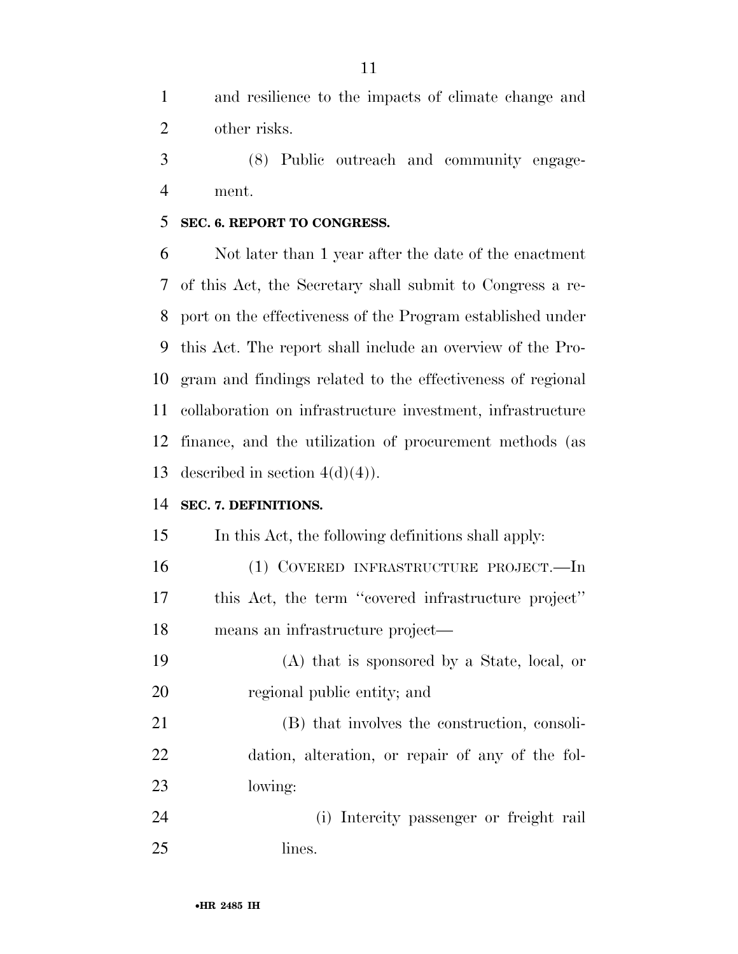and resilience to the impacts of climate change and other risks.

 (8) Public outreach and community engage-ment.

#### **SEC. 6. REPORT TO CONGRESS.**

 Not later than 1 year after the date of the enactment of this Act, the Secretary shall submit to Congress a re- port on the effectiveness of the Program established under this Act. The report shall include an overview of the Pro- gram and findings related to the effectiveness of regional collaboration on infrastructure investment, infrastructure finance, and the utilization of procurement methods (as 13 described in section  $4(d)(4)$ .

### **SEC. 7. DEFINITIONS.**

In this Act, the following definitions shall apply:

- (1) COVERED INFRASTRUCTURE PROJECT.—In this Act, the term ''covered infrastructure project'' means an infrastructure project—
- (A) that is sponsored by a State, local, or regional public entity; and

 (B) that involves the construction, consoli- dation, alteration, or repair of any of the fol-lowing:

 (i) Intercity passenger or freight rail 25 lines.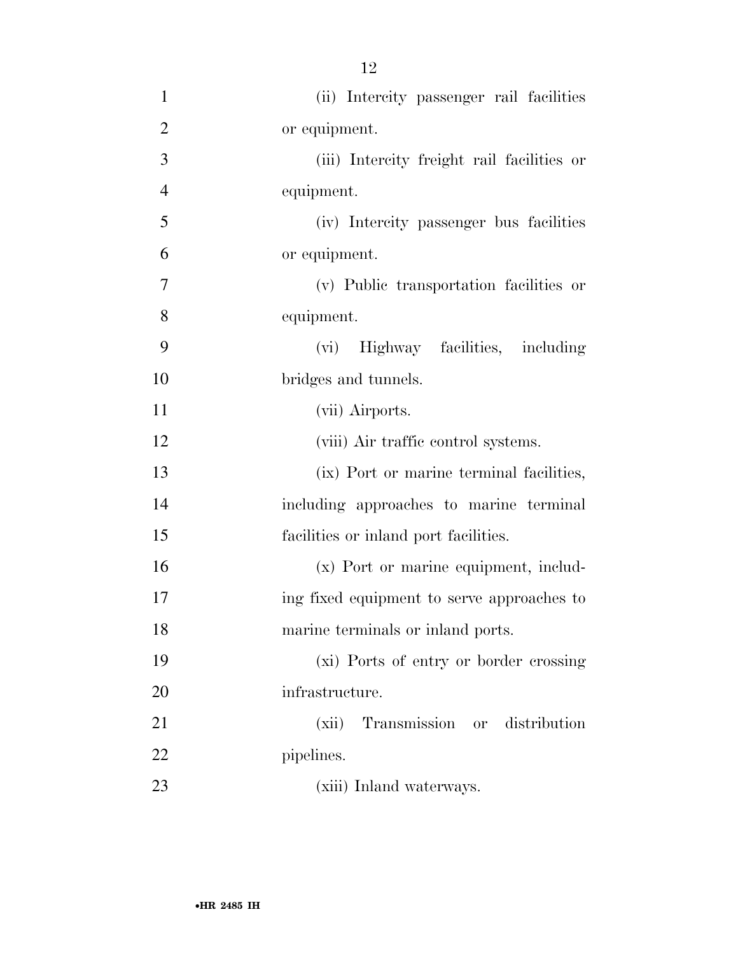(ii) Intercity passenger rail facilities or equipment. (iii) Intercity freight rail facilities or equipment. (iv) Intercity passenger bus facilities or equipment. (v) Public transportation facilities or equipment. (vi) Highway facilities, including bridges and tunnels. (vii) Airports. (viii) Air traffic control systems. (ix) Port or marine terminal facilities, including approaches to marine terminal facilities or inland port facilities. (x) Port or marine equipment, includ- ing fixed equipment to serve approaches to marine terminals or inland ports. (xi) Ports of entry or border crossing infrastructure. (xii) Transmission or distribution 22 pipelines. 23 (xiii) Inland waterways.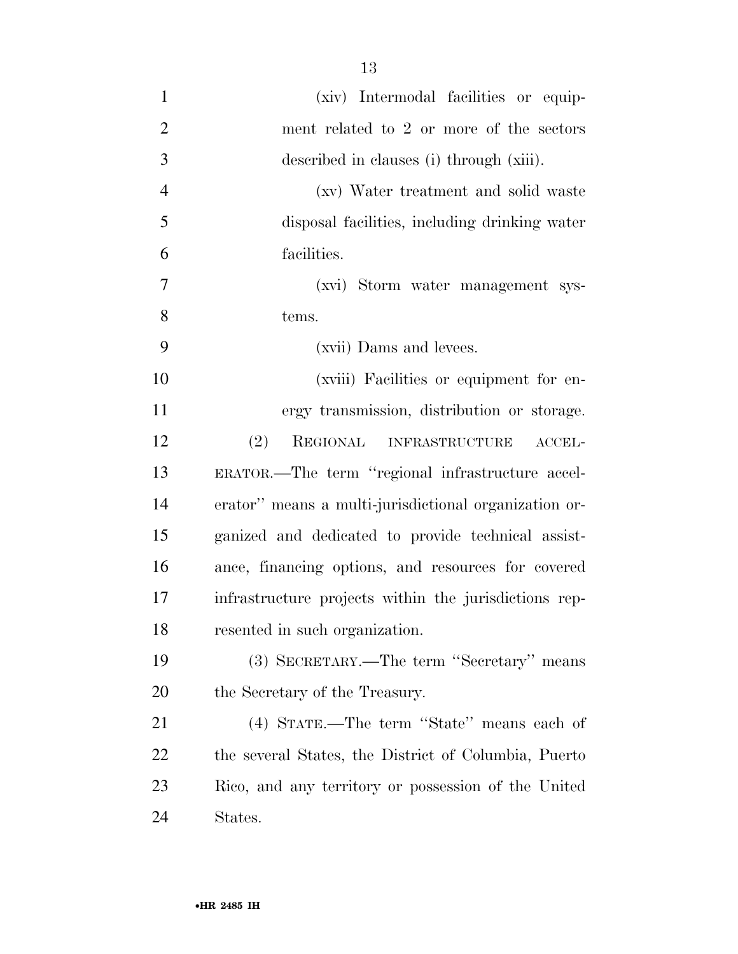| $\mathbf{1}$   | (xiv) Intermodal facilities or equip-                 |
|----------------|-------------------------------------------------------|
| $\overline{2}$ | ment related to 2 or more of the sectors              |
| 3              | described in clauses (i) through (xiii).              |
| $\overline{4}$ | (xv) Water treatment and solid waste                  |
| 5              | disposal facilities, including drinking water         |
| 6              | facilities.                                           |
| 7              | (xvi) Storm water management sys-                     |
| 8              | tems.                                                 |
| 9              | (xvii) Dams and levees.                               |
| 10             | (xviii) Facilities or equipment for en-               |
| 11             | ergy transmission, distribution or storage.           |
| 12             | (2)<br><b>REGIONAL</b><br>INFRASTRUCTURE<br>ACCEL-    |
| 13             | ERATOR.—The term "regional infrastructure accel-      |
| 14             | erator" means a multi-jurisdictional organization or- |
| 15             | ganized and dedicated to provide technical assist-    |
| 16             | ance, financing options, and resources for covered    |
| 17             | infrastructure projects within the jurisdictions rep- |
| 18             | resented in such organization.                        |
| 19             | (3) SECRETARY.—The term "Secretary" means             |
| 20             | the Secretary of the Treasury.                        |
| 21             | (4) STATE.—The term "State" means each of             |
| <u>22</u>      | the several States, the District of Columbia, Puerto  |
| 23             | Rico, and any territory or possession of the United   |
| 24             | States.                                               |